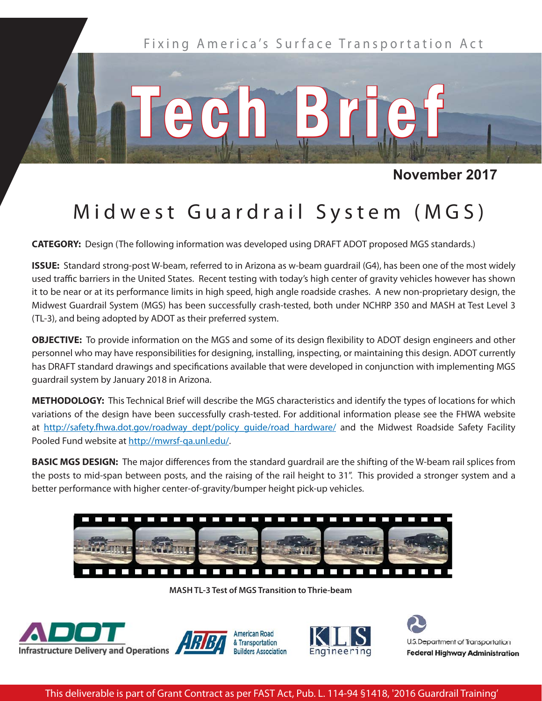

## **November 2017**

## Midwest Guardrail System (MGS)

**CATEGORY:** Design (The following information was developed using DRAFT ADOT proposed MGS standards.)

**ISSUE:** Standard strong-post W-beam, referred to in Arizona as w-beam guardrail (G4), has been one of the most widely used traffic barriers in the United States. Recent testing with today's high center of gravity vehicles however has shown it to be near or at its performance limits in high speed, high angle roadside crashes. A new non-proprietary design, the Midwest Guardrail System (MGS) has been successfully crash-tested, both under NCHRP 350 and MASH at Test Level 3 (TL-3), and being adopted by ADOT as their preferred system.

**OBJECTIVE:** To provide information on the MGS and some of its design flexibility to ADOT design engineers and other personnel who may have responsibilities for designing, installing, inspecting, or maintaining this design. ADOT currently has DRAFT standard drawings and specifications available that were developed in conjunction with implementing MGS guardrail system by January 2018 in Arizona.

**METHODOLOGY:** This Technical Brief will describe the MGS characteristics and identify the types of locations for which variations of the design have been successfully crash-tested. For additional information please see the FHWA website at http://safety.fhwa.dot.gov/roadway\_dept/policy\_guide/road\_hardware/ and the Midwest Roadside Safety Facility Pooled Fund website at http://mwrsf-qa.unl.edu/.

**BASIC MGS DESIGN:** The major differences from the standard guardrail are the shifting of the W-beam rail splices from the posts to mid-span between posts, and the raising of the rail height to 31". This provided a stronger system and a better performance with higher center-of-gravity/bumper height pick-up vehicles.



**MASH TL-3 Test of MGS Transition to Thrie-beam**